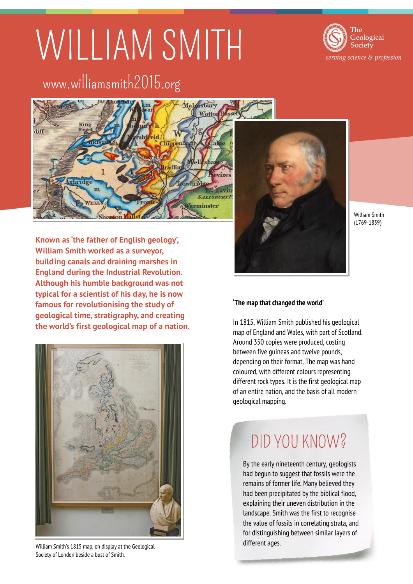# WILLIAM SMITH



# www.williamsmith2015.org



**Known as 'the father of English geology', William Smith worked as a surveyor, building canals and draining marshes in England during the Industrial Revolution. Although his humble background was not typical for a scientist of his day, he is now famous for revolutionising the study of geological time, stratigraphy, and creating the world's first geological map of a nation.** 



William Smith's 1815 map, on display at the Geological Society of London beside a bust of Smith.



William Smith (1769-1839)

### **'The map that changed the world'**

In 1815, William Smith published his geological map of England and Wales, with part of Scotland. Around 350 copies were produced, costing between five guineas and twelve pounds, depending on their format. The map was hand coloured, with different colours representing different rock types. It is the first geological map of an entire nation, and the basis of all modern geological mapping.

## DID YOU KNOW?

By the early nineteenth century, geologists had begun to suggest that fossils were the remains of former life. Many believed they had been precipitated by the biblical flood, explaining their uneven distribution in the landscape. Smith was the first to recognise the value of fossils in correlating strata, and for distinguishing between similar layers of different ages.